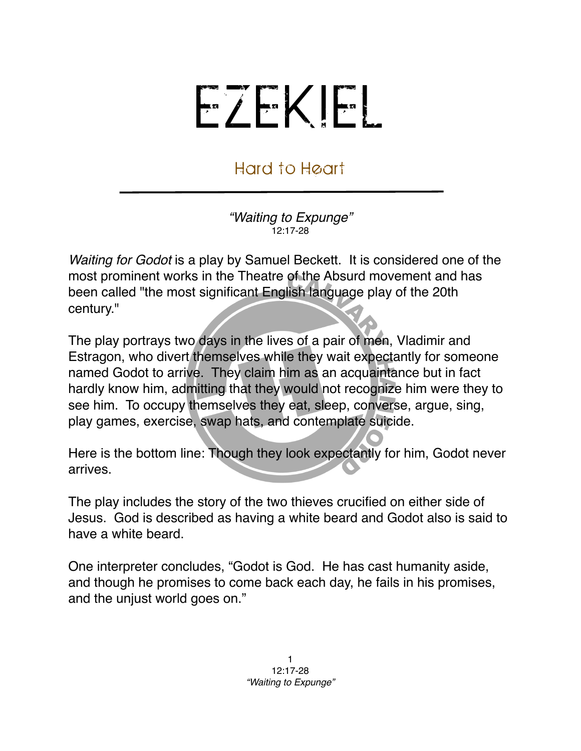## EZEKIEL

## Hard to Heart

*"Waiting to Expunge"* 12:17-28

*Waiting for Godot* is a [play](http://en.wikipedia.org/wiki/Play_(theatre)) by [Samuel Beckett](http://en.wikipedia.org/wiki/Samuel_Beckett). It is considered one of the most prominent works in the [Theatre of the Absurd](http://en.wikipedia.org/wiki/Theatre_of_the_Absurd) movement and has been called "the most significant [English language](http://en.wikipedia.org/wiki/English_language) play of the 20th century."

The play portrays two days in the lives of a pair of men, Vladimir and Estragon, who divert themselves while they wait expectantly for someone named Godot to arrive. They claim him as an acquaintance but in fact hardly know him, admitting that they would not recognize him were they to see him. To occupy themselves they eat, sleep, converse, argue, sing, play games, exercise, swap hats, and contemplate suicide.

Here is the bottom line: Though they look expectantly for him, Godot never arrives.

The play includes the story of the two thieves crucified on either side of Jesus. God is described as having a white beard and Godot also is said to have a white beard.

One interpreter concludes, "Godot is God. He has cast humanity aside, and though he promises to come back each day, he fails in his promises, and the unjust world goes on."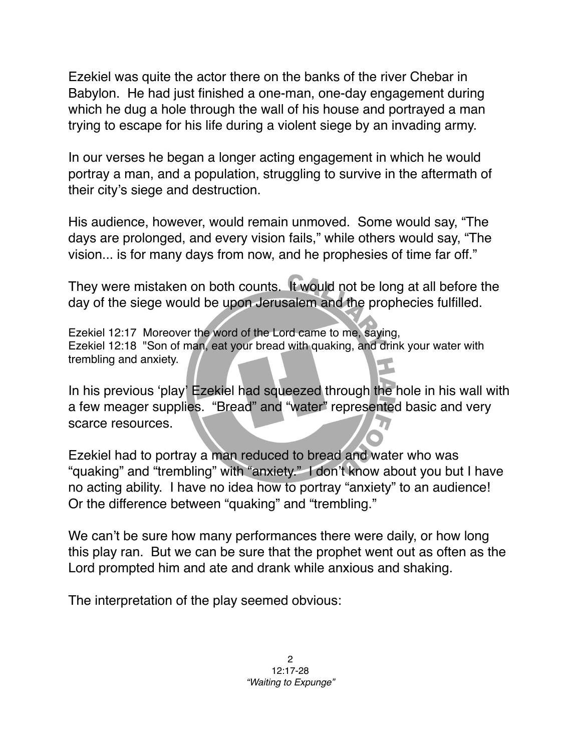Ezekiel was quite the actor there on the banks of the river Chebar in Babylon. He had just finished a one-man, one-day engagement during which he dug a hole through the wall of his house and portrayed a man trying to escape for his life during a violent siege by an invading army.

In our verses he began a longer acting engagement in which he would portray a man, and a population, struggling to survive in the aftermath of their city's siege and destruction.

His audience, however, would remain unmoved. Some would say, "The days are prolonged, and every vision fails," while others would say, "The vision... is for many days from now, and he prophesies of time far off."

They were mistaken on both counts. It would not be long at all before the day of the siege would be upon Jerusalem and the prophecies fulfilled.

Ezekiel 12:17 Moreover the word of the Lord came to me, saying, Ezekiel 12:18 "Son of man, eat your bread with quaking, and drink your water with trembling and anxiety.

In his previous ʻplay' Ezekiel had squeezed through the hole in his wall with a few meager supplies. "Bread" and "water" represented basic and very scarce resources.

Ezekiel had to portray a man reduced to bread and water who was "quaking" and "trembling" with "anxiety." I don't know about you but I have no acting ability. I have no idea how to portray "anxiety" to an audience! Or the difference between "quaking" and "trembling."

We can't be sure how many performances there were daily, or how long this play ran. But we can be sure that the prophet went out as often as the Lord prompted him and ate and drank while anxious and shaking.

The interpretation of the play seemed obvious: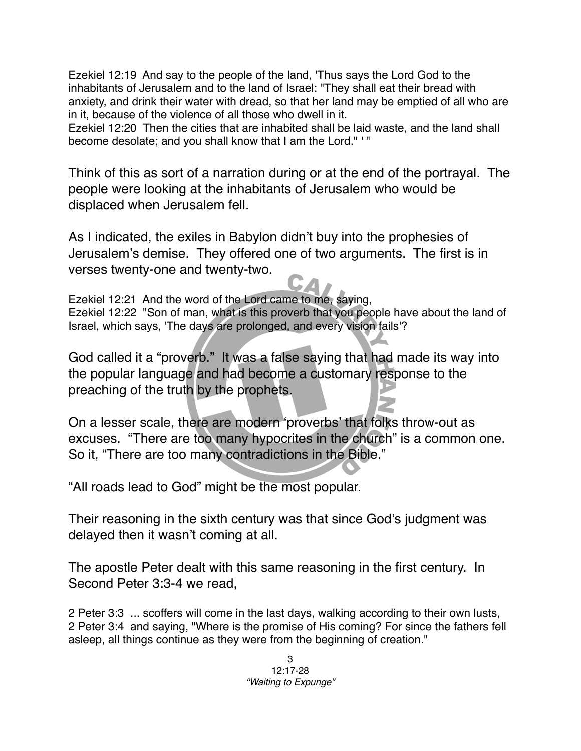Ezekiel 12:19 And say to the people of the land, 'Thus says the Lord God to the inhabitants of Jerusalem and to the land of Israel: "They shall eat their bread with anxiety, and drink their water with dread, so that her land may be emptied of all who are in it, because of the violence of all those who dwell in it.

Ezekiel 12:20 Then the cities that are inhabited shall be laid waste, and the land shall become desolate; and you shall know that I am the Lord." ' "

Think of this as sort of a narration during or at the end of the portrayal. The people were looking at the inhabitants of Jerusalem who would be displaced when Jerusalem fell.

As I indicated, the exiles in Babylon didn't buy into the prophesies of Jerusalem's demise. They offered one of two arguments. The first is in verses twenty-one and twenty-two.

Ezekiel 12:21 And the word of the Lord came to me, saying, Ezekiel 12:22 "Son of man, what is this proverb that you people have about the land of Israel, which says, 'The days are prolonged, and every vision fails'?

God called it a "proverb." It was a false saying that had made its way into the popular language and had become a customary response to the preaching of the truth by the prophets.

On a lesser scale, there are modern ʻproverbs' that folks throw-out as excuses. "There are too many hypocrites in the church" is a common one. So it, "There are too many contradictions in the Bible."

"All roads lead to God" might be the most popular.

Their reasoning in the sixth century was that since God's judgment was delayed then it wasn't coming at all.

The apostle Peter dealt with this same reasoning in the first century. In Second Peter 3:3-4 we read,

2 Peter 3:3 ... scoffers will come in the last days, walking according to their own lusts, 2 Peter 3:4 and saying, "Where is the promise of His coming? For since the fathers fell asleep, all things continue as they were from the beginning of creation."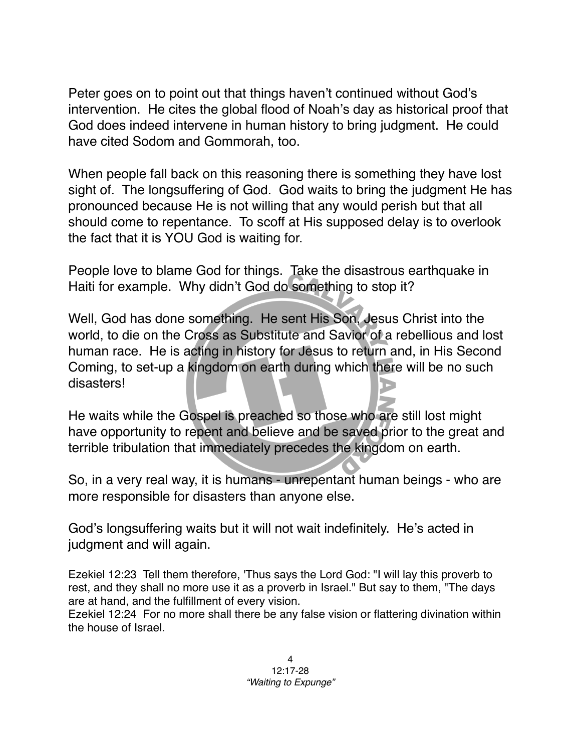Peter goes on to point out that things haven't continued without God's intervention. He cites the global flood of Noah's day as historical proof that God does indeed intervene in human history to bring judgment. He could have cited Sodom and Gommorah, too.

When people fall back on this reasoning there is something they have lost sight of. The longsuffering of God. God waits to bring the judgment He has pronounced because He is not willing that any would perish but that all should come to repentance. To scoff at His supposed delay is to overlook the fact that it is YOU God is waiting for.

People love to blame God for things. Take the disastrous earthquake in Haiti for example. Why didn't God do something to stop it?

Well, God has done something. He sent His Son, Jesus Christ into the world, to die on the Cross as Substitute and Savior of a rebellious and lost human race. He is acting in history for Jesus to return and, in His Second Coming, to set-up a kingdom on earth during which there will be no such disasters!

He waits while the Gospel is preached so those who are still lost might have opportunity to repent and believe and be saved prior to the great and terrible tribulation that immediately precedes the kingdom on earth.

So, in a very real way, it is humans - unrepentant human beings - who are more responsible for disasters than anyone else.

God's longsuffering waits but it will not wait indefinitely. He's acted in judgment and will again.

Ezekiel 12:23 Tell them therefore, 'Thus says the Lord God: "I will lay this proverb to rest, and they shall no more use it as a proverb in Israel." But say to them, "The days are at hand, and the fulfillment of every vision.

Ezekiel 12:24 For no more shall there be any false vision or flattering divination within the house of Israel.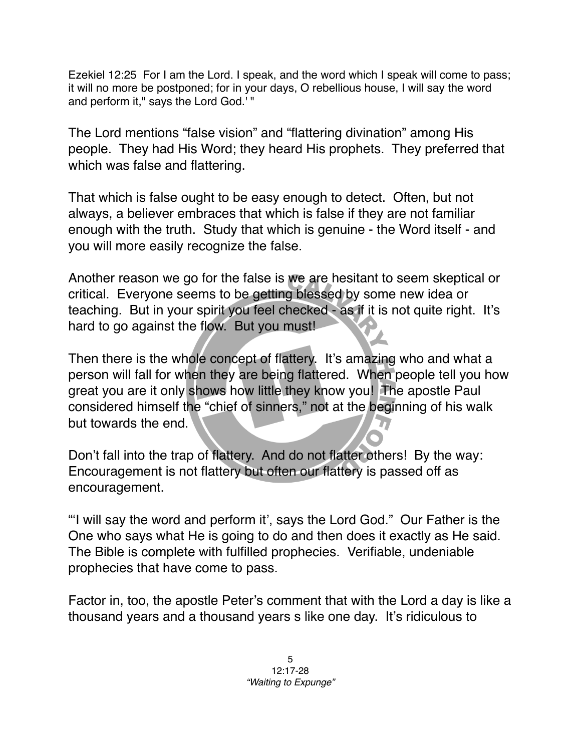Ezekiel 12:25 For I am the Lord. I speak, and the word which I speak will come to pass; it will no more be postponed; for in your days, O rebellious house, I will say the word and perform it," says the Lord God.' "

The Lord mentions "false vision" and "flattering divination" among His people. They had His Word; they heard His prophets. They preferred that which was false and flattering.

That which is false ought to be easy enough to detect. Often, but not always, a believer embraces that which is false if they are not familiar enough with the truth. Study that which is genuine - the Word itself - and you will more easily recognize the false.

Another reason we go for the false is we are hesitant to seem skeptical or critical. Everyone seems to be getting blessed by some new idea or teaching. But in your spirit you feel checked - as if it is not quite right. It's hard to go against the flow. But you must!

Then there is the whole concept of flattery. It's amazing who and what a person will fall for when they are being flattered. When people tell you how great you are it only shows how little they know you! The apostle Paul considered himself the "chief of sinners," not at the beginning of his walk but towards the end.

Don't fall into the trap of flattery. And do not flatter others! By the way: Encouragement is not flattery but often our flattery is passed off as encouragement.

"ʻI will say the word and perform it', says the Lord God." Our Father is the One who says what He is going to do and then does it exactly as He said. The Bible is complete with fulfilled prophecies. Verifiable, undeniable prophecies that have come to pass.

Factor in, too, the apostle Peter's comment that with the Lord a day is like a thousand years and a thousand years s like one day. It's ridiculous to